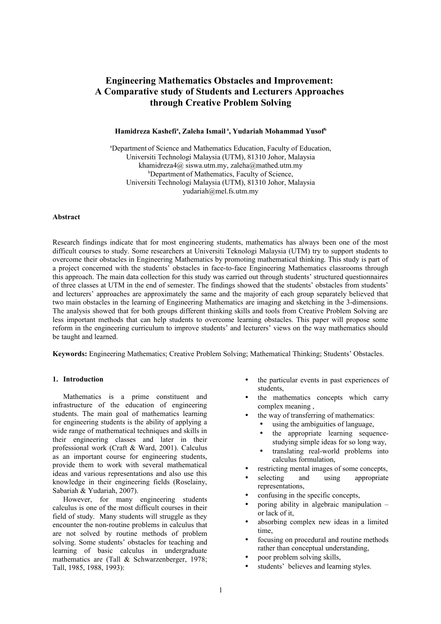# **Engineering Mathematics Obstacles and Improvement: A Comparative study of Students and Lecturers Approaches through Creative Problem Solving**

#### **Hamidreza Kashefi<sup>a</sup> , Zaleha Ismail<sup>a</sup>, Yudariah Mohammad Yusof<sup>b</sup>**

<sup>a</sup>Department of Science and Mathematics Education, Faculty of Education, Universiti Technologi Malaysia (UTM), 81310 Johor, Malaysia khamidreza4@ siswa.utm.my, zaleha@mathed.utm.my **b**Department of Mathematics, Faculty of Science, Universiti Technologi Malaysia (UTM), 81310 Johor, Malaysia [yudariah@mel.fs.utm.my](mailto:yudariah@mel.fs.utm.my)

### **Abstract**

Research findings indicate that for most engineering students, mathematics has always been one of the most difficult courses to study. Some researchers at Universiti Teknologi Malaysia (UTM) try to support students to overcome their obstacles in Engineering Mathematics by promoting mathematical thinking. This study is part of a project concerned with the students' obstacles in face-to-face Engineering Mathematics classrooms through this approach. The main data collection for this study was carried out through students' structured questionnaires of three classes at UTM in the end of semester. The findings showed that the students' obstacles from students' and lecturers' approaches are approximately the same and the majority of each group separately believed that two main obstacles in the learning of Engineering Mathematics are imaging and sketching in the 3-dimensions. The analysis showed that for both groups different thinking skills and tools from Creative Problem Solving are less important methods that can help students to overcome learning obstacles. This paper will propose some reform in the engineering curriculum to improve students' and lecturers' views on the way mathematics should be taught and learned.

**Keywords:** Engineering Mathematics; Creative Problem Solving; Mathematical Thinking; Students' Obstacles.

## **1. Introduction**

Mathematics is a prime constituent and infrastructure of the education of engineering students. The main goal of mathematics learning for engineering students is the ability of applying a wide range of mathematical techniques and skills in their engineering classes and later in their professional work (Craft & Ward, 2001). Calculus as an important course for engineering students, provide them to work with several mathematical ideas and various representations and also use this knowledge in their engineering fields (Roselainy, Sabariah & Yudariah, 2007).

However, for many engineering students calculus is one of the most difficult courses in their field of study. Many students will struggle as they encounter the non-routine problems in calculus that are not solved by routine methods of problem solving. Some students' obstacles for teaching and learning of basic calculus in undergraduate mathematics are (Tall & Schwarzenberger, 1978; Tall, 1985, 1988, 1993):

- the particular events in past experiences of students,
- the mathematics concepts which carry complex meaning ,
- the way of transferring of mathematics:
- using the ambiguities of language,
	- the appropriate learning sequencestudying simple ideas for so long way,
	- translating real-world problems into calculus formulation,
- restricting mental images of some concepts,
- selecting and using appropriate representations,
- confusing in the specific concepts,
- poring ability in algebraic manipulation or lack of it,
- absorbing complex new ideas in a limited time,
- focusing on procedural and routine methods rather than conceptual understanding,
- poor problem solving skills,
- students' believes and learning styles.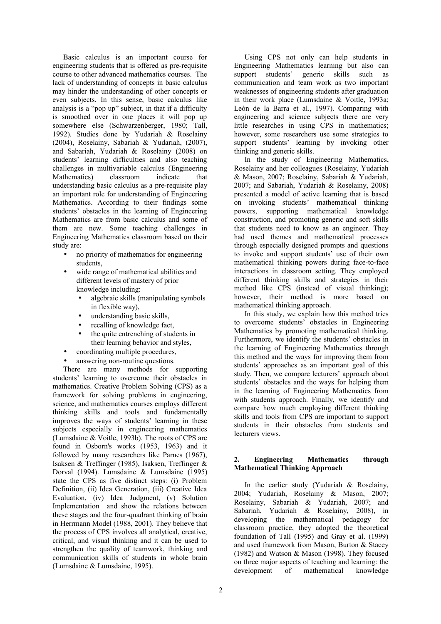Basic calculus is an important course for engineering students that is offered as pre-requisite course to other advanced mathematics courses. The lack of understanding of concepts in basic calculus may hinder the understanding of other concepts or even subjects. In this sense, basic calculus like analysis is a "pop up" subject, in that if a difficulty is smoothed over in one places it will pop up somewhere else (Schwarzenberger, 1980; Tall, 1992). Studies done by Yudariah & Roselainy (2004), Roselainy, Sabariah & Yudariah, (2007), and Sabariah, Yudariah & Roselainy (2008) on students' learning difficulties and also teaching challenges in multivariable calculus (Engineering Mathematics) classroom indicate that understanding basic calculus as a pre-requisite play an important role for understanding of Engineering Mathematics. According to their findings some students' obstacles in the learning of Engineering Mathematics are from basic calculus and some of them are new. Some teaching challenges in Engineering Mathematics classroom based on their study are:

- no priority of mathematics for engineering students,
- wide range of mathematical abilities and different levels of mastery of prior knowledge including:
	- algebraic skills (manipulating symbols in flexible way),
	- understanding basic skills,
	- recalling of knowledge fact,
	- the quite entrenching of students in their learning behavior and styles,
- coordinating multiple procedures,
- answering non-routine questions.

There are many methods for supporting students' learning to overcome their obstacles in mathematics. Creative Problem Solving (CPS) as a framework for solving problems in engineering, science, and mathematics courses employs different thinking skills and tools and fundamentally improves the ways of students' learning in these subjects especially in engineering mathematics (Lumsdaine & Voitle, 1993b). The roots of CPS are found in Osborn's works (1953, 1963) and it followed by many researchers like Parnes (1967), Isaksen & Treffinger (1985), Isaksen, Treffinger & Dorval (1994). Lumsdaine & Lumsdaine (1995) state the CPS as five distinct steps: (i) Problem Definition, (ii) Idea Generation, (iii) Creative Idea Evaluation, (iv) Idea Judgment, (v) Solution Implementation and show the relations between these stages and the four-quadrant thinking of brain in Herrmann Model (1988, 2001). They believe that the process of CPS involves all analytical, creative, critical, and visual thinking and it can be used to strengthen the quality of teamwork, thinking and communication skills of students in whole brain (Lumsdaine & Lumsdaine, 1995).

Using CPS not only can help students in Engineering Mathematics learning but also can support students' generic skills such as communication and team work as two important weaknesses of engineering students after graduation in their work place (Lumsdaine & Voitle, 1993a; León de la Barra et al., 1997). Comparing with engineering and science subjects there are very little researches in using CPS in mathematics; however, some researchers use some strategies to support students' learning by invoking other thinking and generic skills.

In the study of Engineering Mathematics, Roselainy and her colleagues (Roselainy, Yudariah & Mason, 2007; Roselainy, Sabariah & Yudariah, 2007; and Sabariah, Yudariah & Roselainy, 2008) presented a model of active learning that is based on invoking students' mathematical thinking powers, supporting mathematical knowledge construction, and promoting generic and soft skills that students need to know as an engineer. They had used themes and mathematical processes through especially designed prompts and questions to invoke and support students' use of their own mathematical thinking powers during face-to-face interactions in classroom setting. They employed different thinking skills and strategies in their method like CPS (instead of visual thinking); however, their method is more based on mathematical thinking approach.

In this study, we explain how this method tries to overcome students' obstacles in Engineering Mathematics by promoting mathematical thinking. Furthermore, we identify the students' obstacles in the learning of Engineering Mathematics through this method and the ways for improving them from students' approaches as an important goal of this study. Then, we compare lecturers' approach about students' obstacles and the ways for helping them in the learning of Engineering Mathematics from with students approach. Finally, we identify and compare how much employing different thinking skills and tools from CPS are important to support students in their obstacles from students and lecturers views.

## **2. Engineering Mathematics through Mathematical Thinking Approach**

In the earlier study (Yudariah & Roselainy, 2004; Yudariah, Roselainy & Mason, 2007; Roselainy, Sabariah & Yudariah, 2007; and Sabariah, Yudariah & Roselainy, 2008), in developing the mathematical pedagogy for classroom practice, they adopted the theoretical foundation of Tall (1995) and Gray et al. (1999) and used framework from Mason, Burton & Stacey (1982) and Watson & Mason (1998). They focused on three major aspects of teaching and learning: the development of mathematical knowledge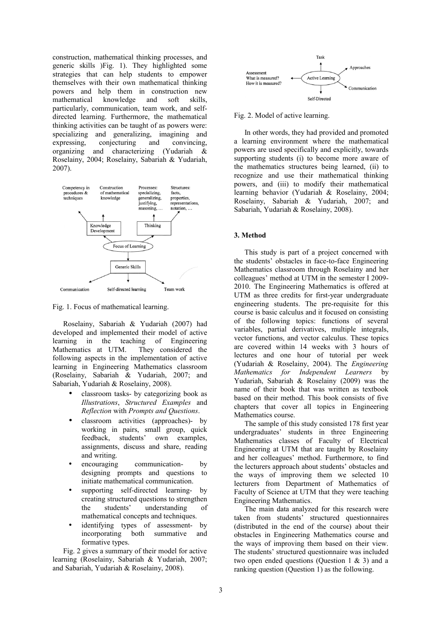construction, mathematical thinking processes, and generic skills )Fig. 1). They highlighted some strategies that can help students to empower themselves with their own mathematical thinking powers and help them in construction new mathematical knowledge and soft skills, particularly, communication, team work, and selfdirected learning. Furthermore, the mathematical thinking activities can be taught of as powers were: specializing and generalizing, imagining and expressing, conjecturing and convincing, organizing and characterizing (Yudariah & Roselainy, 2004; Roselainy, Sabariah & Yudariah, 2007).



Fig. 1. Focus of mathematical learning.

Roselainy, Sabariah & Yudariah (2007) had developed and implemented their model of active learning in the teaching of Engineering Mathematics at UTM. They considered the following aspects in the implementation of active learning in Engineering Mathematics classroom (Roselainy, Sabariah & Yudariah, 2007; and Sabariah, Yudariah & Roselainy, 2008).

- classroom tasks- by categorizing book as *Illustrations*, *Structured Examples* and *Reflection* with *Prompts and Questions*.
- classroom activities (approaches)- by working in pairs, small group, quick feedback, students' own examples, assignments, discuss and share, reading and writing.
- encouraging communication- by designing prompts and questions to initiate mathematical communication.
- supporting self-directed learning- by creating structured questions to strengthen the students' understanding of mathematical concepts and techniques.
- identifying types of assessment- by<br>incorporating both summative and incorporating both summative and formative types.

Fig. 2 gives a summary of their model for active learning (Roselainy, Sabariah & Yudariah, 2007; and Sabariah, Yudariah & Roselainy, 2008).



#### Fig. 2. Model of active learning.

In other words, they had provided and promoted a learning environment where the mathematical powers are used specifically and explicitly, towards supporting students (i) to become more aware of the mathematics structures being learned, (ii) to recognize and use their mathematical thinking powers, and (iii) to modify their mathematical learning behavior (Yudariah & Roselainy, 2004; Roselainy, Sabariah & Yudariah, 2007; and Sabariah, Yudariah & Roselainy, 2008).

### **3. Method**

This study is part of a project concerned with the students' obstacles in face-to-face Engineering Mathematics classroom through Roselainy and her colleagues' method at UTM in the semester I 2009- 2010. The Engineering Mathematics is offered at UTM as three credits for first-year undergraduate engineering students. The pre-requisite for this course is basic calculus and it focused on consisting of the following topics: functions of several variables, partial derivatives, multiple integrals, vector functions, and vector calculus. These topics are covered within 14 weeks with 3 hours of lectures and one hour of tutorial per week (Yudariah & Roselainy, 2004). The *Engineering Mathematics for Independent Learners* by Yudariah, Sabariah & Roselainy (2009) was the name of their book that was written as textbook based on their method. This book consists of five chapters that cover all topics in Engineering Mathematics course.

The sample of this study consisted 178 first year undergraduates' students in three Engineering Mathematics classes of Faculty of Electrical Engineering at UTM that are taught by Roselainy and her colleagues' method. Furthermore, to find the lecturers approach about students' obstacles and the ways of improving them we selected 10 lecturers from Department of Mathematics of Faculty of Science at UTM that they were teaching Engineering Mathematics.

The main data analyzed for this research were taken from students' structured questionnaires (distributed in the end of the course) about their obstacles in Engineering Mathematics course and the ways of improving them based on their view. The students' structured questionnaire was included two open ended questions (Question 1  $&$  3) and a ranking question (Question 1) as the following.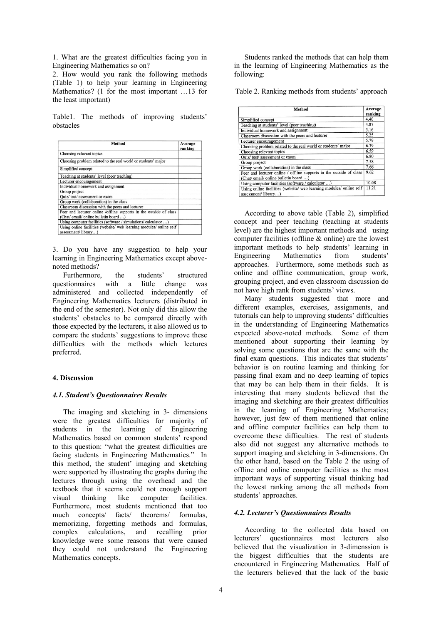1. What are the greatest difficulties facing you in Engineering Mathematics so on?

2. How would you rank the following methods (Table 1) to help your learning in Engineering Mathematics? (1 for the most important …13 for the least important)

Table1. The methods of improving students' obstacles

| Method                                                                                     | Average<br>ranking |
|--------------------------------------------------------------------------------------------|--------------------|
| Choosing relevant topics                                                                   |                    |
| Choosing problem related to the real world or students' major                              |                    |
| Simplified concept                                                                         |                    |
| Teaching at students' level (peer teaching)                                                |                    |
| Lecturer encouragement                                                                     |                    |
| Individual homework and assignment                                                         |                    |
| Group project                                                                              |                    |
| Quiz/ test/ assessment or exam                                                             |                    |
| Group work (collaboration) in the class                                                    |                    |
| Classroom discussion with the peers and lecturer                                           |                    |
| Peer and lecturer online /offline supports in the outside of class                         |                    |
| (Chat/ email/ online bulletin board )                                                      |                    |
| Using computer facilities (software / simulations/ calculator )                            |                    |
| Using online facilities (website/ web learning modules/ online self<br>assessment/library) |                    |

3. Do you have any suggestion to help your learning in Engineering Mathematics except abovenoted methods?

Furthermore, the students' structured<br>stionnaires with a little change was questionnaires with a little administered and collected independently of Engineering Mathematics lecturers (distributed in the end of the semester). Not only did this allow the students' obstacles to be compared directly with those expected by the lecturers, it also allowed us to compare the students' suggestions to improve these difficulties with the methods which lectures preferred.

#### **4. Discussion**

#### *4.1. Student's Questionnaires Results*

The imaging and sketching in 3- dimensions were the greatest difficulties for majority of students in the learning of Engineering Mathematics based on common students' respond to this question: "what the greatest difficulties are facing students in Engineering Mathematics." In this method, the student' imaging and sketching were supported by illustrating the graphs during the lectures through using the overhead and the textbook that it seems could not enough support visual thinking like computer facilities. Furthermore, most students mentioned that too much concepts/ facts/ theorems/ formulas, memorizing, forgetting methods and formulas, complex calculations, and recalling prior knowledge were some reasons that were caused they could not understand the Engineering Mathematics concepts.

Students ranked the methods that can help them in the learning of Engineering Mathematics as the following:

Table 2. Ranking methods from students' approach

| Method                                                                                                       | Average<br>ranking |
|--------------------------------------------------------------------------------------------------------------|--------------------|
| Simplified concept                                                                                           | 4.40               |
| Teaching at students' level (peer teaching)                                                                  | 4.87               |
| Individual homework and assignment                                                                           | 5.16               |
| Classroom discussion with the peers and lecturer                                                             | 5.25               |
| Lecturer encouragement                                                                                       | 5.79               |
| Choosing problem related to the real world or students' major                                                | 6.39               |
| Choosing relevant topics                                                                                     | 6.59               |
| Quiz/ test/ assessment or exam                                                                               | 6.80               |
| Group project                                                                                                | 7.58               |
| Group work (collaboration) in the class                                                                      | 7.66               |
| Peer and lecturer online / offline supports in the outside of class<br>(Chat/ email/ online bulletin board ) | 9.62               |
| Using computer facilities (software / calculator )                                                           | 10.08              |
| Using online facilities (website/ web learning modules/ online self<br>assessment/library)                   | 11.21              |

According to above table (Table 2), simplified concept and peer teaching (teaching at students level) are the highest important methods and using computer facilities (offline & online) are the lowest important methods to help students' learning in Engineering Mathematics from students' approaches. Furthermore, some methods such as online and offline communication, group work, grouping project, and even classroom discussion do not have high rank from students' views.

Many students suggested that more and different examples, exercises, assignments, and tutorials can help to improving students' difficulties in the understanding of Engineering Mathematics expected above-noted methods. Some of them mentioned about supporting their learning by solving some questions that are the same with the final exam questions. This indicates that students' behavior is on routine learning and thinking for passing final exam and no deep learning of topics that may be can help them in their fields. It is interesting that many students believed that the imaging and sketching are their greatest difficulties in the learning of Engineering Mathematics; however, just few of them mentioned that online and offline computer facilities can help them to overcome these difficulties. The rest of students also did not suggest any alternative methods to support imaging and sketching in 3-dimensions. On the other hand, based on the Table 2 the using of offline and online computer facilities as the most important ways of supporting visual thinking had the lowest ranking among the all methods from students' approaches.

## *4.2. Lecturer's Questionnaires Results*

According to the collected data based on lecturers' questionnaires most lecturers also believed that the visualization in 3-dimenssion is the biggest difficulties that the students are encountered in Engineering Mathematics. Half of the lecturers believed that the lack of the basic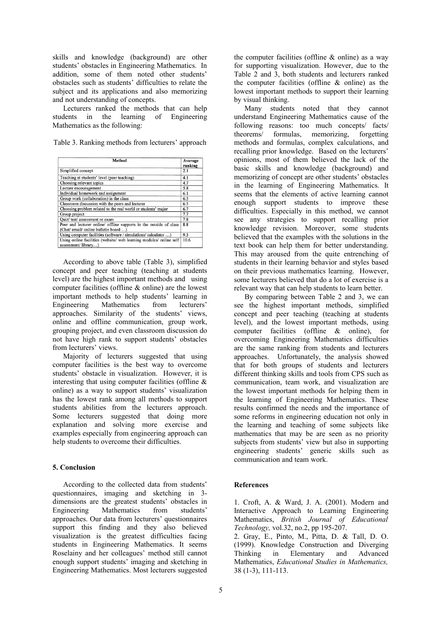skills and knowledge (background) are other students' obstacles in Engineering Mathematics. In addition, some of them noted other students' obstacles such as students' difficulties to relate the subject and its applications and also memorizing and not understanding of concepts.

Lecturers ranked the methods that can help students in the learning of Engineering Mathematics as the following:

Table 3. Ranking methods from lecturers' approach

| Method                                                                                                      | Average<br>ranking |
|-------------------------------------------------------------------------------------------------------------|--------------------|
| Simplified concept                                                                                          | 2.1                |
| Teaching at students' level (peer teaching)                                                                 | 4.1                |
| Choosing relevant topics                                                                                    | 4.7                |
| Lecture encouragement                                                                                       | 5.8                |
| Individual homework and assignment                                                                          | 6.1                |
| Group work (collaboration) in the class                                                                     | 6.5                |
| Classroom discussion with the peers and lecturer                                                            | 6.5                |
| Choosing problem related to the real world or students' major                                               | 6.7                |
| Group project                                                                                               | 7.7                |
| Quiz/ test/ assessment or exam                                                                              | 7.8                |
| Peer and lecturer online/ offline supports in the outside of class<br>(Chat/ email/ online bulletin board ) | 8.8                |
| Using computer facilities (software / simulations/ calculator )                                             | 9.3                |
| Using online facilities (website/ web learning modules/ online self<br>assessment/library)                  | 10.6               |

According to above table (Table 3), simplified concept and peer teaching (teaching at students level) are the highest important methods and using computer facilities (offline & online) are the lowest important methods to help students' learning in Engineering Mathematics from lecturers' approaches. Similarity of the students' views, online and offline communication, group work, grouping project, and even classroom discussion do not have high rank to support students' obstacles from lecturers' views.

Majority of lecturers suggested that using computer facilities is the best way to overcome students' obstacle in visualization. However, it is interesting that using computer facilities (offline  $\&$ online) as a way to support students' visualization has the lowest rank among all methods to support students abilities from the lecturers approach. Some lecturers suggested that doing more explanation and solving more exercise and examples especially from engineering approach can help students to overcome their difficulties.

## **5. Conclusion**

According to the collected data from students' questionnaires, imaging and sketching in 3 dimensions are the greatest students' obstacles in Engineering Mathematics from students' approaches. Our data from lecturers' questionnaires support this finding and they also believed visualization is the greatest difficulties facing students in Engineering Mathematics. It seems Roselainy and her colleagues' method still cannot enough support students' imaging and sketching in Engineering Mathematics. Most lecturers suggested the computer facilities (offline & online) as a way for supporting visualization. However, due to the Table 2 and 3, both students and lecturers ranked the computer facilities (offline & online) as the lowest important methods to support their learning by visual thinking.

Many students noted that they cannot understand Engineering Mathematics cause of the following reasons: too much concepts/ facts/ theorems/ formulas, memorizing, forgetting methods and formulas, complex calculations, and recalling prior knowledge. Based on the lecturers' opinions, most of them believed the lack of the basic skills and knowledge (background) and memorizing of concept are other students' obstacles in the learning of Engineering Mathematics. It seems that the elements of active learning cannot enough support students to improve these difficulties. Especially in this method, we cannot see any strategies to support recalling prior knowledge revision. Moreover, some students believed that the examples with the solutions in the text book can help them for better understanding. This may aroused from the quite entrenching of students in their learning behavior and styles based on their previous mathematics learning. However, some lecturers believed that do a lot of exercise is a relevant way that can help students to learn better.

By comparing between Table 2 and 3, we can see the highest important methods, simplified concept and peer teaching (teaching at students level), and the lowest important methods, using computer facilities (offline & online), for overcoming Engineering Mathematics difficulties are the same ranking from students and lecturers approaches. Unfortunately, the analysis showed that for both groups of students and lecturers different thinking skills and tools from CPS such as communication, team work, and visualization are the lowest important methods for helping them in the learning of Engineering Mathematics. These results confirmed the needs and the importance of some reforms in engineering education not only in the learning and teaching of some subjects like mathematics that may be are seen as no priority subjects from students' view but also in supporting engineering students' generic skills such as communication and team work.

# **References**

1. Croft, A. & Ward, J. A. (2001). Modern and Interactive Approach to Learning Engineering Mathematics, *British Journal of Educational Technology,* vol.32, no.2, pp 195-207.

2. Gray, E., Pinto, M., Pitta, D. & Tall, D. O. (1999). Knowledge Construction and Diverging Thinking in Elementary and Advanced Mathematics, *Educational Studies in Mathematics,* 38 (1-3), 111-113.